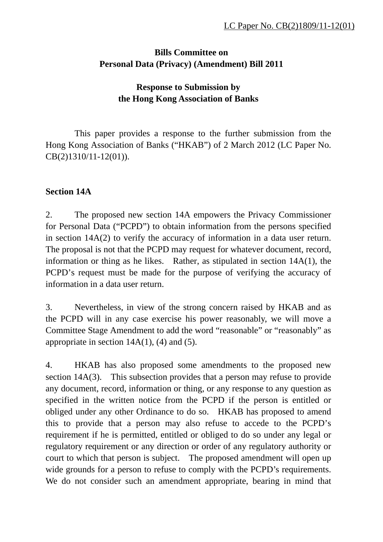# **Bills Committee on Personal Data (Privacy) (Amendment) Bill 2011**

# **Response to Submission by the Hong Kong Association of Banks**

This paper provides a response to the further submission from the Hong Kong Association of Banks ("HKAB") of 2 March 2012 (LC Paper No. CB(2)1310/11-12(01)).

## **Section 14A**

2. The proposed new section 14A empowers the Privacy Commissioner for Personal Data ("PCPD") to obtain information from the persons specified in section 14A(2) to verify the accuracy of information in a data user return. The proposal is not that the PCPD may request for whatever document, record, information or thing as he likes. Rather, as stipulated in section 14A(1), the PCPD's request must be made for the purpose of verifying the accuracy of information in a data user return.

3. Nevertheless, in view of the strong concern raised by HKAB and as the PCPD will in any case exercise his power reasonably, we will move a Committee Stage Amendment to add the word "reasonable" or "reasonably" as appropriate in section  $14A(1)$ , (4) and (5).

4. HKAB has also proposed some amendments to the proposed new section 14A(3). This subsection provides that a person may refuse to provide any document, record, information or thing, or any response to any question as specified in the written notice from the PCPD if the person is entitled or obliged under any other Ordinance to do so. HKAB has proposed to amend this to provide that a person may also refuse to accede to the PCPD's requirement if he is permitted, entitled or obliged to do so under any legal or regulatory requirement or any direction or order of any regulatory authority or court to which that person is subject. The proposed amendment will open up wide grounds for a person to refuse to comply with the PCPD's requirements. We do not consider such an amendment appropriate, bearing in mind that